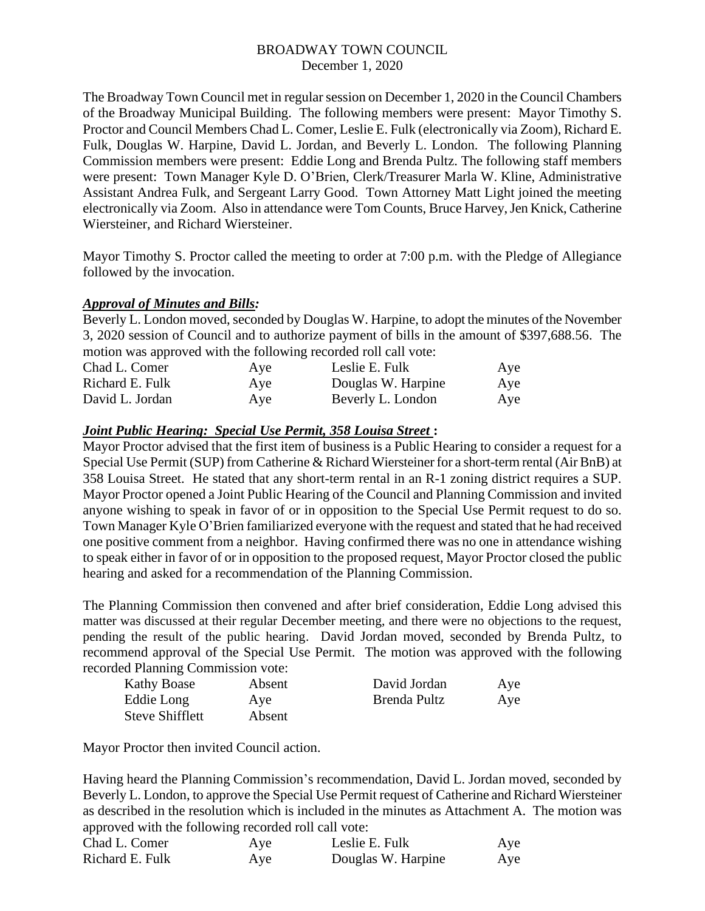The Broadway Town Council met in regular session on December 1, 2020 in the Council Chambers of the Broadway Municipal Building. The following members were present: Mayor Timothy S. Proctor and Council Members Chad L. Comer, Leslie E. Fulk (electronically via Zoom), Richard E. Fulk, Douglas W. Harpine, David L. Jordan, and Beverly L. London. The following Planning Commission members were present: Eddie Long and Brenda Pultz. The following staff members were present: Town Manager Kyle D. O'Brien, Clerk/Treasurer Marla W. Kline, Administrative Assistant Andrea Fulk, and Sergeant Larry Good. Town Attorney Matt Light joined the meeting electronically via Zoom. Also in attendance were Tom Counts, Bruce Harvey, Jen Knick, Catherine Wiersteiner, and Richard Wiersteiner.

Mayor Timothy S. Proctor called the meeting to order at 7:00 p.m. with the Pledge of Allegiance followed by the invocation.

# *Approval of Minutes and Bills:*

Beverly L. London moved, seconded by Douglas W. Harpine, to adopt the minutes of the November 3, 2020 session of Council and to authorize payment of bills in the amount of \$397,688.56. The motion was approved with the following recorded roll call vote:

| Chad L. Comer   | Aye | Leslie E. Fulk     | Aye |
|-----------------|-----|--------------------|-----|
| Richard E. Fulk | Aye | Douglas W. Harpine | Aye |
| David L. Jordan | Aye | Beverly L. London  | Aye |

# *Joint Public Hearing: Special Use Permit, 358 Louisa Street* **:**

Mayor Proctor advised that the first item of business is a Public Hearing to consider a request for a Special Use Permit (SUP) from Catherine & Richard Wiersteiner for a short-term rental (Air BnB) at 358 Louisa Street. He stated that any short-term rental in an R-1 zoning district requires a SUP. Mayor Proctor opened a Joint Public Hearing of the Council and Planning Commission and invited anyone wishing to speak in favor of or in opposition to the Special Use Permit request to do so. Town Manager Kyle O'Brien familiarized everyone with the request and stated that he had received one positive comment from a neighbor. Having confirmed there was no one in attendance wishing to speak either in favor of or in opposition to the proposed request, Mayor Proctor closed the public hearing and asked for a recommendation of the Planning Commission.

The Planning Commission then convened and after brief consideration, Eddie Long advised this matter was discussed at their regular December meeting, and there were no objections to the request, pending the result of the public hearing. David Jordan moved, seconded by Brenda Pultz, to recommend approval of the Special Use Permit. The motion was approved with the following recorded Planning Commission vote:

| <b>Kathy Boase</b> | Absent | David Jordan | Aye |
|--------------------|--------|--------------|-----|
| Eddie Long         | Aye    | Brenda Pultz | Aye |
| Steve Shifflett    | Absent |              |     |

Mayor Proctor then invited Council action.

Having heard the Planning Commission's recommendation, David L. Jordan moved, seconded by Beverly L. London, to approve the Special Use Permit request of Catherine and Richard Wiersteiner as described in the resolution which is included in the minutes as Attachment A. The motion was approved with the following recorded roll call vote:

| Chad L. Comer   | Aye | Leslie E. Fulk     | Aye |
|-----------------|-----|--------------------|-----|
| Richard E. Fulk | Aye | Douglas W. Harpine | Aye |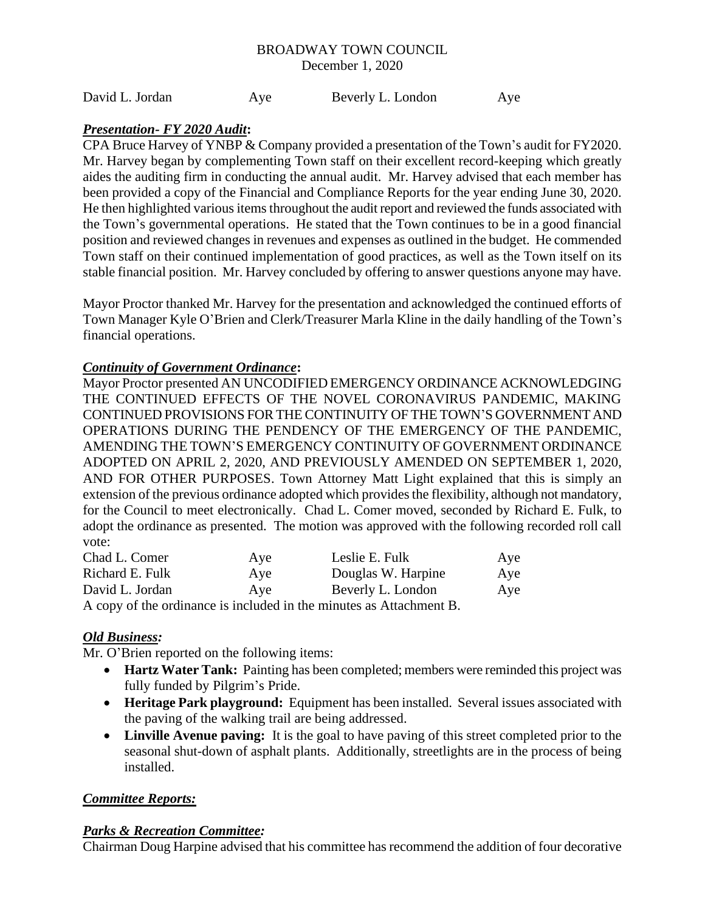David L. Jordan Aye Beverly L. London Aye

# *Presentation- FY 2020 Audit***:**

CPA Bruce Harvey of YNBP & Company provided a presentation of the Town's audit for FY2020. Mr. Harvey began by complementing Town staff on their excellent record-keeping which greatly aides the auditing firm in conducting the annual audit. Mr. Harvey advised that each member has been provided a copy of the Financial and Compliance Reports for the year ending June 30, 2020. He then highlighted various items throughout the audit report and reviewed the funds associated with the Town's governmental operations. He stated that the Town continues to be in a good financial position and reviewed changes in revenues and expenses as outlined in the budget. He commended Town staff on their continued implementation of good practices, as well as the Town itself on its stable financial position. Mr. Harvey concluded by offering to answer questions anyone may have.

Mayor Proctor thanked Mr. Harvey for the presentation and acknowledged the continued efforts of Town Manager Kyle O'Brien and Clerk/Treasurer Marla Kline in the daily handling of the Town's financial operations.

# *Continuity of Government Ordinance***:**

Mayor Proctor presented AN UNCODIFIED EMERGENCY ORDINANCE ACKNOWLEDGING THE CONTINUED EFFECTS OF THE NOVEL CORONAVIRUS PANDEMIC, MAKING CONTINUED PROVISIONS FOR THE CONTINUITY OF THE TOWN'S GOVERNMENT AND OPERATIONS DURING THE PENDENCY OF THE EMERGENCY OF THE PANDEMIC, AMENDING THE TOWN'S EMERGENCY CONTINUITY OF GOVERNMENT ORDINANCE ADOPTED ON APRIL 2, 2020, AND PREVIOUSLY AMENDED ON SEPTEMBER 1, 2020, AND FOR OTHER PURPOSES. Town Attorney Matt Light explained that this is simply an extension of the previous ordinance adopted which provides the flexibility, although not mandatory, for the Council to meet electronically. Chad L. Comer moved, seconded by Richard E. Fulk, to adopt the ordinance as presented. The motion was approved with the following recorded roll call vote:

| Chad L. Comer   | Aye | Leslie E. Fulk                                                      | Aye |
|-----------------|-----|---------------------------------------------------------------------|-----|
| Richard E. Fulk | Aye | Douglas W. Harpine                                                  | Aye |
| David L. Jordan | Ave | Beverly L. London                                                   | Aye |
|                 |     | A copy of the ordinance is included in the minutes as Attachment B. |     |

# *Old Business:*

Mr. O'Brien reported on the following items:

- **Hartz Water Tank:** Painting has been completed; members were reminded this project was fully funded by Pilgrim's Pride.
- **Heritage Park playground:** Equipment has been installed. Several issues associated with the paving of the walking trail are being addressed.
- **Linville Avenue paving:** It is the goal to have paving of this street completed prior to the seasonal shut-down of asphalt plants. Additionally, streetlights are in the process of being installed.

# *Committee Reports:*

# *Parks & Recreation Committee:*

Chairman Doug Harpine advised that his committee has recommend the addition of four decorative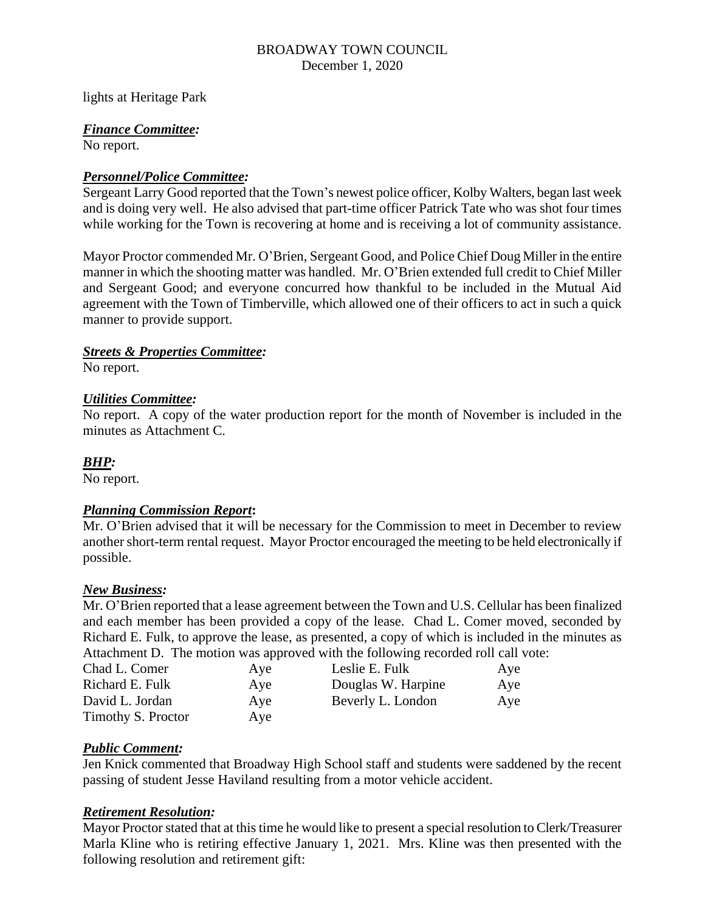lights at Heritage Park

# *Finance Committee:*

No report.

# *Personnel/Police Committee:*

Sergeant Larry Good reported that the Town's newest police officer, Kolby Walters, began last week and is doing very well. He also advised that part-time officer Patrick Tate who was shot four times while working for the Town is recovering at home and is receiving a lot of community assistance.

Mayor Proctor commended Mr. O'Brien, Sergeant Good, and Police Chief Doug Miller in the entire manner in which the shooting matter was handled. Mr. O'Brien extended full credit to Chief Miller and Sergeant Good; and everyone concurred how thankful to be included in the Mutual Aid agreement with the Town of Timberville, which allowed one of their officers to act in such a quick manner to provide support.

# *Streets & Properties Committee:*

No report.

# *Utilities Committee:*

No report. A copy of the water production report for the month of November is included in the minutes as Attachment C.

# *BHP:*

No report.

#### *Planning Commission Report***:**

Mr. O'Brien advised that it will be necessary for the Commission to meet in December to review another short-term rental request. Mayor Proctor encouraged the meeting to be held electronically if possible.

#### *New Business:*

Mr. O'Brien reported that a lease agreement between the Town and U.S. Cellular has been finalized and each member has been provided a copy of the lease. Chad L. Comer moved, seconded by Richard E. Fulk, to approve the lease, as presented, a copy of which is included in the minutes as Attachment D. The motion was approved with the following recorded roll call vote:

| Chad L. Comer      | Aye | Leslie E. Fulk     | Aye |
|--------------------|-----|--------------------|-----|
| Richard E. Fulk    | Aye | Douglas W. Harpine | Aye |
| David L. Jordan    | Aye | Beverly L. London  | Aye |
| Timothy S. Proctor | Aye |                    |     |

#### *Public Comment:*

Jen Knick commented that Broadway High School staff and students were saddened by the recent passing of student Jesse Haviland resulting from a motor vehicle accident.

#### *Retirement Resolution:*

Mayor Proctor stated that at this time he would like to present a special resolution to Clerk/Treasurer Marla Kline who is retiring effective January 1, 2021. Mrs. Kline was then presented with the following resolution and retirement gift: